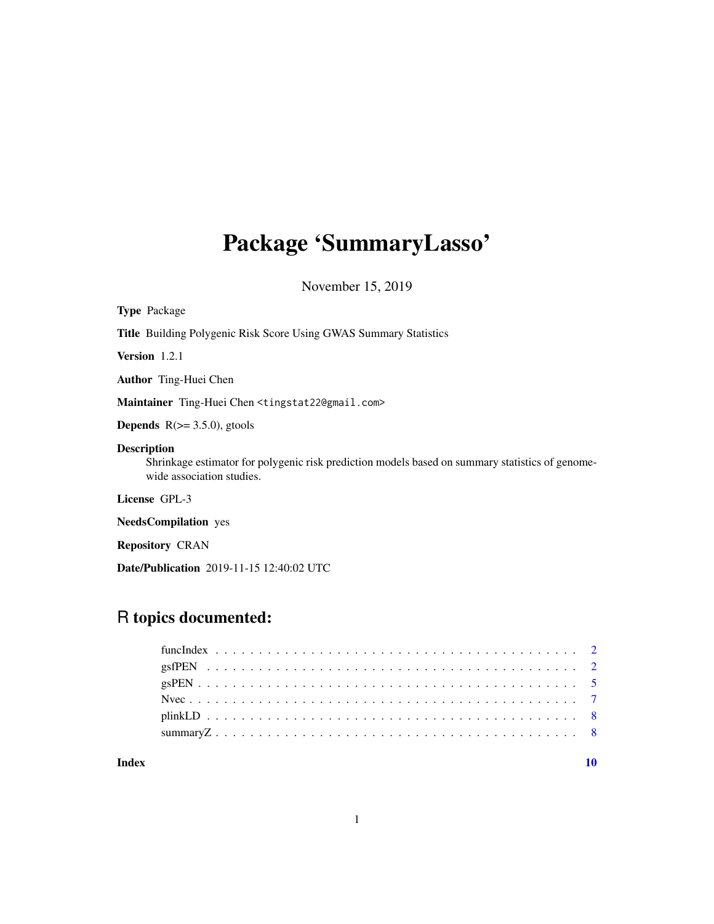# Package 'SummaryLasso'

November 15, 2019

| <b>Type Package</b>                                                                                                                                |
|----------------------------------------------------------------------------------------------------------------------------------------------------|
| <b>Title</b> Building Polygenic Risk Score Using GWAS Summary Statistics                                                                           |
| <b>Version</b> $1.2.1$                                                                                                                             |
| <b>Author</b> Ting-Huei Chen                                                                                                                       |
| Maintainer Ting-Huei Chen <tingstat22@gmail.com></tingstat22@gmail.com>                                                                            |
| <b>Depends</b> $R(>= 3.5.0)$ , gtools                                                                                                              |
| <b>Description</b><br>Shrinkage estimator for polygenic risk prediction models based on summary statistics of genome-<br>wide association studies. |
| License GPL-3                                                                                                                                      |
| <b>NeedsCompilation</b> yes                                                                                                                        |
| <b>Repository CRAN</b>                                                                                                                             |

# Date/Publication 2019-11-15 12:40:02 UTC

# R topics documented:

#### $\blacksquare$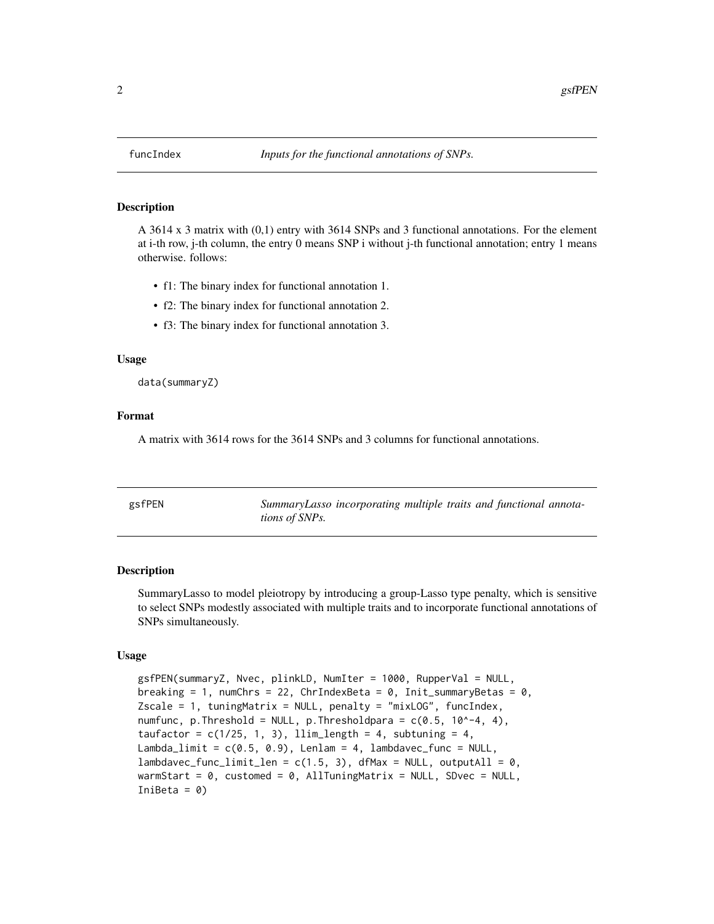<span id="page-1-0"></span>

#### Description

A 3614 x 3 matrix with (0,1) entry with 3614 SNPs and 3 functional annotations. For the element at i-th row, j-th column, the entry 0 means SNP i without j-th functional annotation; entry 1 means otherwise. follows:

- f1: The binary index for functional annotation 1.
- f2: The binary index for functional annotation 2.
- f3: The binary index for functional annotation 3.

#### Usage

data(summaryZ)

#### Format

A matrix with 3614 rows for the 3614 SNPs and 3 columns for functional annotations.

| gsfPEN | SummaryLasso incorporating multiple traits and functional annota- |  |  |  |
|--------|-------------------------------------------------------------------|--|--|--|
|        | <i>tions of SNPs.</i>                                             |  |  |  |

#### Description

SummaryLasso to model pleiotropy by introducing a group-Lasso type penalty, which is sensitive to select SNPs modestly associated with multiple traits and to incorporate functional annotations of SNPs simultaneously.

#### Usage

```
gsfPEN(summaryZ, Nvec, plinkLD, NumIter = 1000, RupperVal = NULL,
breaking = 1, numChrs = 22, ChrIndexBeta = 0, Init_summaryBetas = 0,
Zscale = 1, tuningMatrix = NULL, penalty = "mixLOG", funcIndex,
numfunc, p.Threshold = NULL, p.Thresholdpara = c(0.5, 10^{\circ}-4, 4),
taufactor = c(1/25, 1, 3), llim_length = 4, subtuning = 4,
Lambda_limit = c(0.5, 0.9), Lenlam = 4, lambdavec_func = NULL,
lambdavec_function\_limit\_len = c(1.5, 3), dfMax = NULL, outputAll = 0,warmStart = 0, customed = 0, AllTuningMatrix = NULL, SDvec = NULL,
IniBeta = 0)
```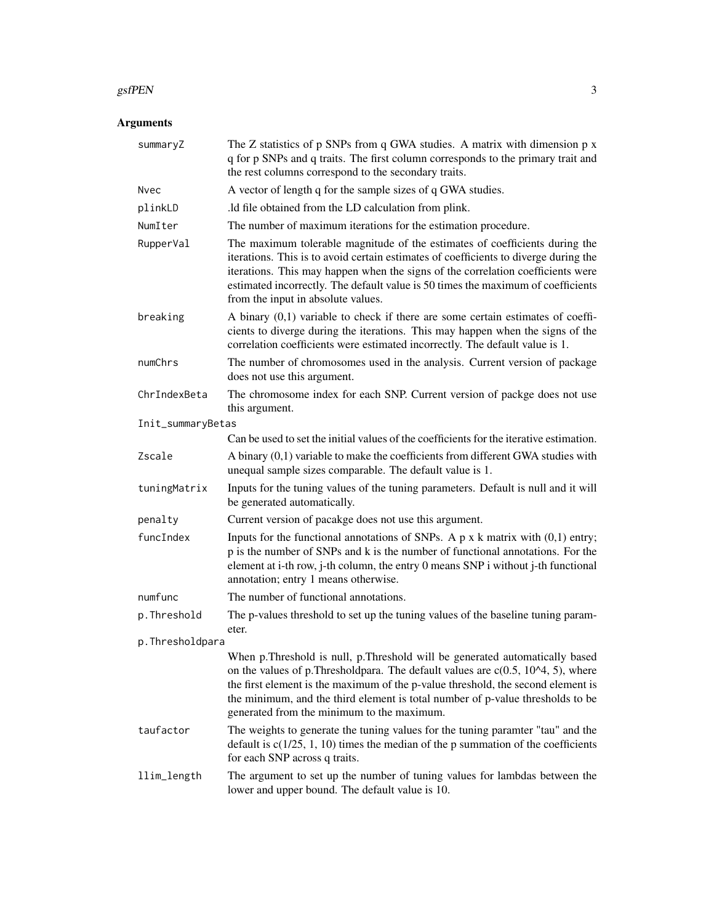#### gsfPEN 3

# Arguments

| summaryZ          | The Z statistics of $p$ SNPs from $q$ GWA studies. A matrix with dimension $p$ x<br>q for p SNPs and q traits. The first column corresponds to the primary trait and<br>the rest columns correspond to the secondary traits.                                                                                                                                                          |
|-------------------|---------------------------------------------------------------------------------------------------------------------------------------------------------------------------------------------------------------------------------------------------------------------------------------------------------------------------------------------------------------------------------------|
| Nvec              | A vector of length q for the sample sizes of q GWA studies.                                                                                                                                                                                                                                                                                                                           |
| plinkLD           | .1d file obtained from the LD calculation from plink.                                                                                                                                                                                                                                                                                                                                 |
| NumIter           | The number of maximum iterations for the estimation procedure.                                                                                                                                                                                                                                                                                                                        |
| RupperVal         | The maximum tolerable magnitude of the estimates of coefficients during the<br>iterations. This is to avoid certain estimates of coefficients to diverge during the<br>iterations. This may happen when the signs of the correlation coefficients were<br>estimated incorrectly. The default value is 50 times the maximum of coefficients<br>from the input in absolute values.      |
| breaking          | A binary $(0,1)$ variable to check if there are some certain estimates of coeffi-<br>cients to diverge during the iterations. This may happen when the signs of the<br>correlation coefficients were estimated incorrectly. The default value is 1.                                                                                                                                   |
| numChrs           | The number of chromosomes used in the analysis. Current version of package<br>does not use this argument.                                                                                                                                                                                                                                                                             |
| ChrIndexBeta      | The chromosome index for each SNP. Current version of packge does not use<br>this argument.                                                                                                                                                                                                                                                                                           |
| Init_summaryBetas |                                                                                                                                                                                                                                                                                                                                                                                       |
|                   | Can be used to set the initial values of the coefficients for the iterative estimation.                                                                                                                                                                                                                                                                                               |
| Zscale            | A binary (0,1) variable to make the coefficients from different GWA studies with<br>unequal sample sizes comparable. The default value is 1.                                                                                                                                                                                                                                          |
| tuningMatrix      | Inputs for the tuning values of the tuning parameters. Default is null and it will<br>be generated automatically.                                                                                                                                                                                                                                                                     |
| penalty           | Current version of pacakge does not use this argument.                                                                                                                                                                                                                                                                                                                                |
| funcIndex         | Inputs for the functional annotations of SNPs. A $p$ x k matrix with $(0,1)$ entry;<br>p is the number of SNPs and k is the number of functional annotations. For the<br>element at i-th row, j-th column, the entry 0 means SNP i without j-th functional<br>annotation; entry 1 means otherwise.                                                                                    |
| numfunc           | The number of functional annotations.                                                                                                                                                                                                                                                                                                                                                 |
| p.Threshold       | The p-values threshold to set up the tuning values of the baseline tuning param-<br>eter.                                                                                                                                                                                                                                                                                             |
| p.Thresholdpara   |                                                                                                                                                                                                                                                                                                                                                                                       |
|                   | When p.Threshold is null, p.Threshold will be generated automatically based<br>on the values of p. Thresholdpara. The default values are $c(0.5, 104, 5)$ , where<br>the first element is the maximum of the p-value threshold, the second element is<br>the minimum, and the third element is total number of p-value thresholds to be<br>generated from the minimum to the maximum. |
| taufactor         | The weights to generate the tuning values for the tuning paramter "tau" and the<br>default is $c(1/25, 1, 10)$ times the median of the p summation of the coefficients<br>for each SNP across q traits.                                                                                                                                                                               |
| llim_length       | The argument to set up the number of tuning values for lambdas between the<br>lower and upper bound. The default value is 10.                                                                                                                                                                                                                                                         |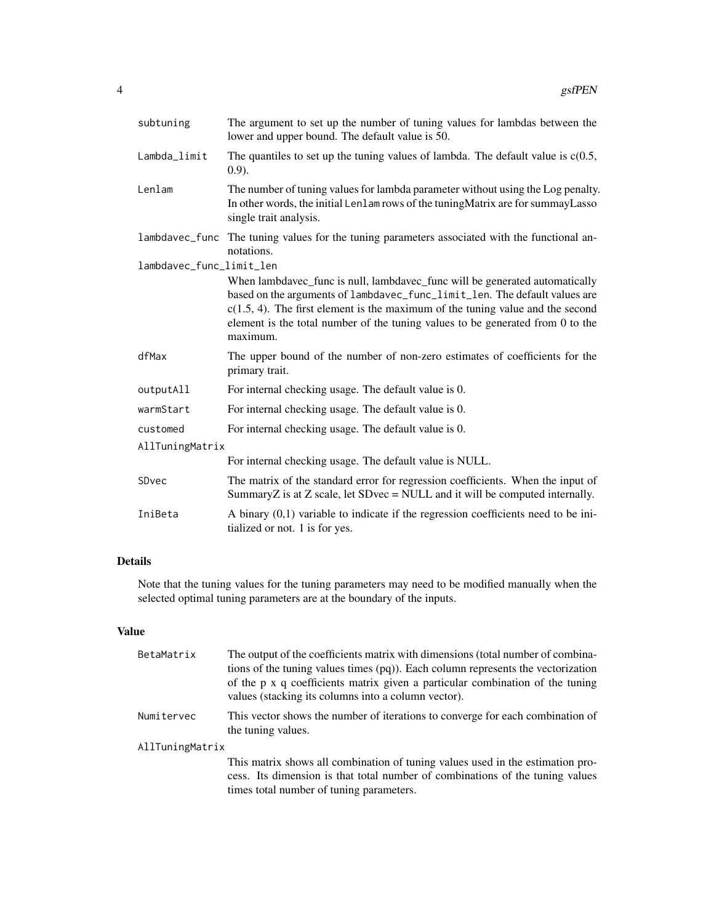| subtuning                | The argument to set up the number of tuning values for lambdas between the<br>lower and upper bound. The default value is 50.                                                                                                                                                                                                                |  |  |
|--------------------------|----------------------------------------------------------------------------------------------------------------------------------------------------------------------------------------------------------------------------------------------------------------------------------------------------------------------------------------------|--|--|
| Lambda_limit             | The quantiles to set up the tuning values of lambda. The default value is $c(0.5, 1.5)$<br>$(0.9)$ .                                                                                                                                                                                                                                         |  |  |
| Lenlam                   | The number of tuning values for lambda parameter without using the Log penalty.<br>In other words, the initial Lenlam rows of the tuning Matrix are for summay Lasso<br>single trait analysis.                                                                                                                                               |  |  |
| lambdavec_func           | The tuning values for the tuning parameters associated with the functional an-<br>notations.                                                                                                                                                                                                                                                 |  |  |
| lambdavec_func_limit_len |                                                                                                                                                                                                                                                                                                                                              |  |  |
|                          | When lambdavec_func is null, lambdavec_func will be generated automatically<br>based on the arguments of lambdavec_func_limit_len. The default values are<br>$c(1.5, 4)$ . The first element is the maximum of the tuning value and the second<br>element is the total number of the tuning values to be generated from 0 to the<br>maximum. |  |  |
| dfMax                    | The upper bound of the number of non-zero estimates of coefficients for the<br>primary trait.                                                                                                                                                                                                                                                |  |  |
| outputAll                | For internal checking usage. The default value is 0.                                                                                                                                                                                                                                                                                         |  |  |
| warmStart                | For internal checking usage. The default value is 0.                                                                                                                                                                                                                                                                                         |  |  |
| customed                 | For internal checking usage. The default value is 0.                                                                                                                                                                                                                                                                                         |  |  |
| AllTuningMatrix          |                                                                                                                                                                                                                                                                                                                                              |  |  |
|                          | For internal checking usage. The default value is NULL.                                                                                                                                                                                                                                                                                      |  |  |
| SDvec                    | The matrix of the standard error for regression coefficients. When the input of<br>SummaryZ is at Z scale, let SDvec = NULL and it will be computed internally.                                                                                                                                                                              |  |  |
| IniBeta                  | A binary $(0,1)$ variable to indicate if the regression coefficients need to be ini-<br>tialized or not. 1 is for yes.                                                                                                                                                                                                                       |  |  |

# Details

Note that the tuning values for the tuning parameters may need to be modified manually when the selected optimal tuning parameters are at the boundary of the inputs.

#### Value

| BetaMatrix      | The output of the coefficients matrix with dimensions (total number of combina-<br>tions of the tuning values times $(pq)$ ). Each column represents the vectorization<br>of the p x q coefficients matrix given a particular combination of the tuning<br>values (stacking its columns into a column vector). |
|-----------------|----------------------------------------------------------------------------------------------------------------------------------------------------------------------------------------------------------------------------------------------------------------------------------------------------------------|
| Numitervec      | This vector shows the number of iterations to converge for each combination of<br>the tuning values.                                                                                                                                                                                                           |
| AllTuningMatrix |                                                                                                                                                                                                                                                                                                                |
|                 | This matrix shows all combination of tuning values used in the estimation pro-<br>cess. Its dimension is that total number of combinations of the tuning values<br>times total number of tuning parameters.                                                                                                    |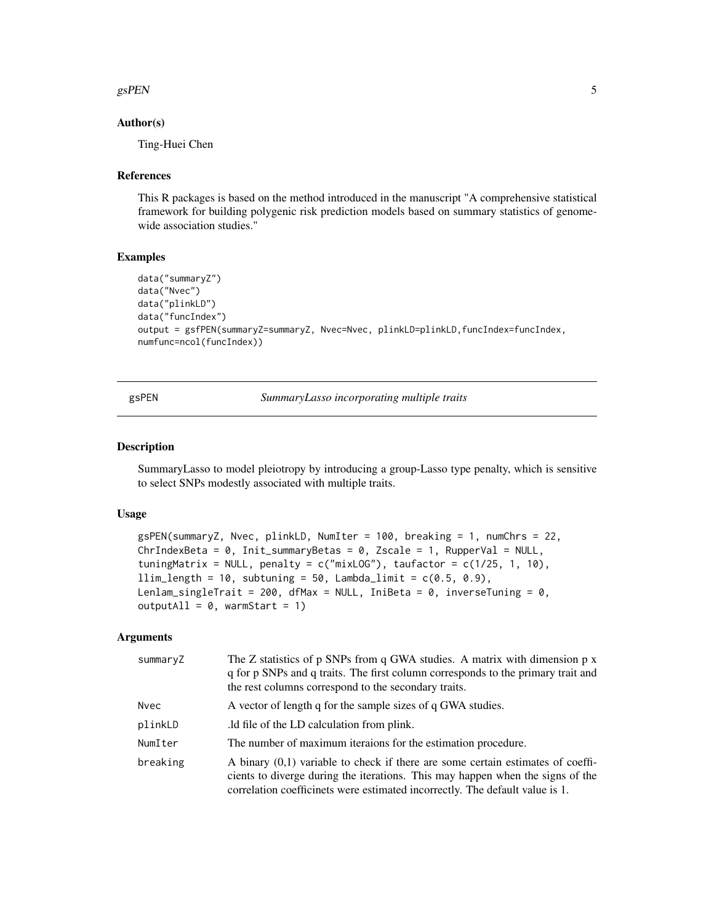#### <span id="page-4-0"></span> $g$ s $PEN$  5

#### Author(s)

Ting-Huei Chen

#### References

This R packages is based on the method introduced in the manuscript "A comprehensive statistical framework for building polygenic risk prediction models based on summary statistics of genomewide association studies."

#### Examples

```
data("summaryZ")
data("Nvec")
data("plinkLD")
data("funcIndex")
output = gsfPEN(summaryZ=summaryZ, Nvec=Nvec, plinkLD=plinkLD,funcIndex=funcIndex,
numfunc=ncol(funcIndex))
```
gsPEN *SummaryLasso incorporating multiple traits*

#### Description

SummaryLasso to model pleiotropy by introducing a group-Lasso type penalty, which is sensitive to select SNPs modestly associated with multiple traits.

#### Usage

```
gsPEN(summaryZ, Nvec, plinkLD, NumIter = 100, breaking = 1, numChrs = 22,
ChrIndexBeta = 0, Init_summaryBetas = 0, Zscale = 1, RupperVal = NULL,
tuningMatrix = NULL, penalty = c("mixLOG"), taufactor = c(1/25, 1, 10),
llim\_length = 10, subtuning = 50, Lambda_llimit = c(0.5, 0.9),
Lenlam_singleTrait = 200, dfMax = NULL, IniBeta = 0, inverseTuning = 0,
outputAll = 0, warmStart = 1)
```
#### Arguments

| summaryZ    | The Z statistics of $p$ SNPs from $q$ GWA studies. A matrix with dimension $p \times q$<br>q for p SNPs and q traits. The first column corresponds to the primary trait and<br>the rest columns correspond to the secondary traits.                 |
|-------------|-----------------------------------------------------------------------------------------------------------------------------------------------------------------------------------------------------------------------------------------------------|
| <b>Nvec</b> | A vector of length q for the sample sizes of q GWA studies.                                                                                                                                                                                         |
| plinkLD     | . Id file of the LD calculation from plink.                                                                                                                                                                                                         |
| NumIter     | The number of maximum iteraions for the estimation procedure.                                                                                                                                                                                       |
| breaking    | A binary $(0,1)$ variable to check if there are some certain estimates of coeffi-<br>cients to diverge during the iterations. This may happen when the signs of the<br>correlation coefficinets were estimated incorrectly. The default value is 1. |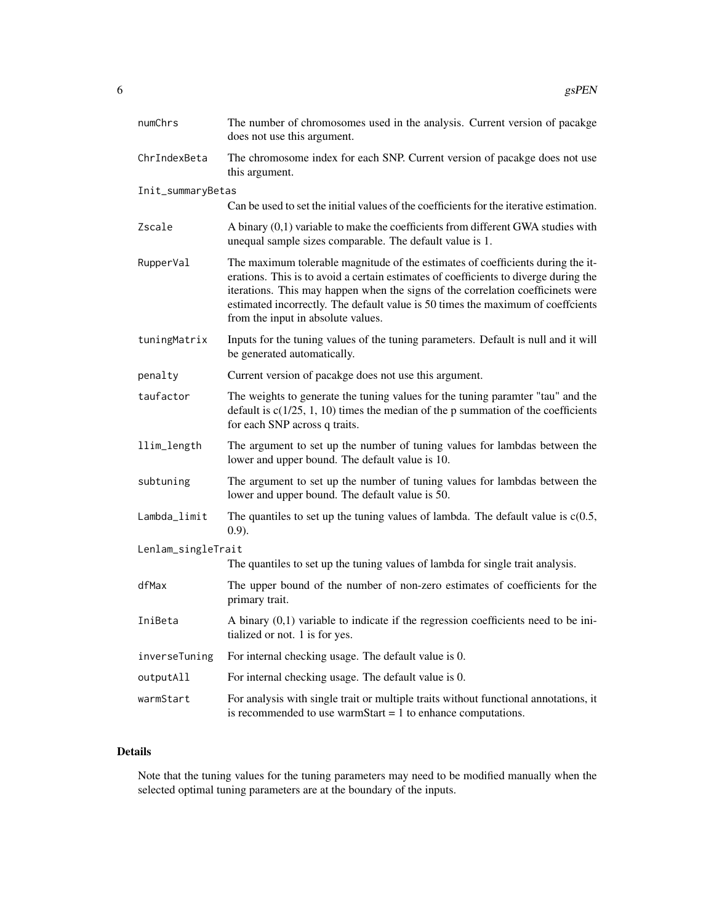| numChrs            | The number of chromosomes used in the analysis. Current version of pacakge<br>does not use this argument.                                                                                                                                                                                                                                                                           |
|--------------------|-------------------------------------------------------------------------------------------------------------------------------------------------------------------------------------------------------------------------------------------------------------------------------------------------------------------------------------------------------------------------------------|
| ChrIndexBeta       | The chromosome index for each SNP. Current version of pacakge does not use<br>this argument.                                                                                                                                                                                                                                                                                        |
| Init_summaryBetas  |                                                                                                                                                                                                                                                                                                                                                                                     |
|                    | Can be used to set the initial values of the coefficients for the iterative estimation.                                                                                                                                                                                                                                                                                             |
| Zscale             | A binary (0,1) variable to make the coefficients from different GWA studies with<br>unequal sample sizes comparable. The default value is 1.                                                                                                                                                                                                                                        |
| RupperVal          | The maximum tolerable magnitude of the estimates of coefficients during the it-<br>erations. This is to avoid a certain estimates of coefficients to diverge during the<br>iterations. This may happen when the signs of the correlation coefficinets were<br>estimated incorrectly. The default value is 50 times the maximum of coeffcients<br>from the input in absolute values. |
| tuningMatrix       | Inputs for the tuning values of the tuning parameters. Default is null and it will<br>be generated automatically.                                                                                                                                                                                                                                                                   |
| penalty            | Current version of pacakge does not use this argument.                                                                                                                                                                                                                                                                                                                              |
| taufactor          | The weights to generate the tuning values for the tuning paramter "tau" and the<br>default is $c(1/25, 1, 10)$ times the median of the p summation of the coefficients<br>for each SNP across q traits.                                                                                                                                                                             |
| llim_length        | The argument to set up the number of tuning values for lambdas between the<br>lower and upper bound. The default value is 10.                                                                                                                                                                                                                                                       |
| subtuning          | The argument to set up the number of tuning values for lambdas between the<br>lower and upper bound. The default value is 50.                                                                                                                                                                                                                                                       |
| Lambda_limit       | The quantiles to set up the tuning values of lambda. The default value is $c(0.5)$ ,<br>$(0.9)$ .                                                                                                                                                                                                                                                                                   |
| Lenlam_singleTrait |                                                                                                                                                                                                                                                                                                                                                                                     |
|                    | The quantiles to set up the tuning values of lambda for single trait analysis.                                                                                                                                                                                                                                                                                                      |
| dfMax              | The upper bound of the number of non-zero estimates of coefficients for the<br>primary trait.                                                                                                                                                                                                                                                                                       |
| IniBeta            | A binary $(0,1)$ variable to indicate if the regression coefficients need to be ini-<br>tialized or not. 1 is for yes.                                                                                                                                                                                                                                                              |
| inverseTuning      | For internal checking usage. The default value is 0.                                                                                                                                                                                                                                                                                                                                |
| outputAll          | For internal checking usage. The default value is 0.                                                                                                                                                                                                                                                                                                                                |
| warmStart          | For analysis with single trait or multiple traits without functional annotations, it<br>is recommended to use warmStart = $1$ to enhance computations.                                                                                                                                                                                                                              |

# Details

Note that the tuning values for the tuning parameters may need to be modified manually when the selected optimal tuning parameters are at the boundary of the inputs.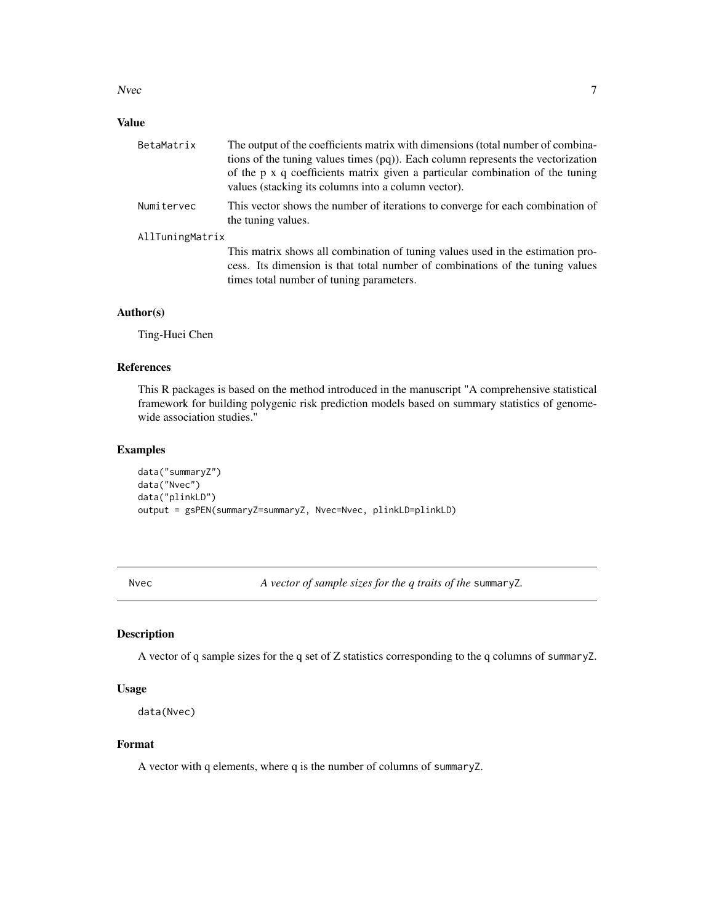#### <span id="page-6-0"></span>Nvec  $\overline{7}$

### Value

| BetaMatrix      | The output of the coefficients matrix with dimensions (total number of combina-                                                      |
|-----------------|--------------------------------------------------------------------------------------------------------------------------------------|
|                 | tions of the tuning values times (pq)). Each column represents the vectorization                                                     |
|                 | of the p x q coefficients matrix given a particular combination of the tuning<br>values (stacking its columns into a column vector). |
| Numitervec      | This vector shows the number of iterations to converge for each combination of<br>the tuning values.                                 |
| AllTuningMatrix |                                                                                                                                      |
|                 | This matrix shows all combination of tuning values used in the estimation pro-                                                       |
|                 | cess. Its dimension is that total number of combinations of the tuning values                                                        |
|                 | times total number of tuning parameters.                                                                                             |

#### Author(s)

Ting-Huei Chen

#### References

This R packages is based on the method introduced in the manuscript "A comprehensive statistical framework for building polygenic risk prediction models based on summary statistics of genomewide association studies."

#### Examples

```
data("summaryZ")
data("Nvec")
data("plinkLD")
output = gsPEN(summaryZ=summaryZ, Nvec=Nvec, plinkLD=plinkLD)
```
Nvec *A vector of sample sizes for the q traits of the* summaryZ*.*

#### Description

A vector of q sample sizes for the q set of Z statistics corresponding to the q columns of summaryZ.

#### Usage

```
data(Nvec)
```
### Format

A vector with q elements, where q is the number of columns of summaryZ.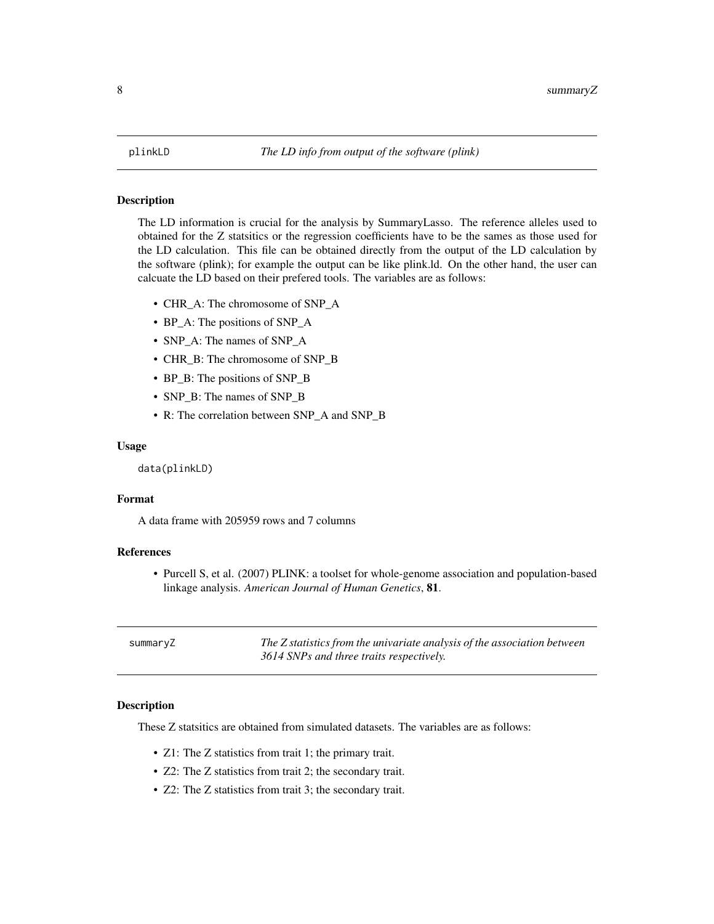#### <span id="page-7-0"></span>Description

The LD information is crucial for the analysis by SummaryLasso. The reference alleles used to obtained for the Z statsitics or the regression coefficients have to be the sames as those used for the LD calculation. This file can be obtained directly from the output of the LD calculation by the software (plink); for example the output can be like plink.ld. On the other hand, the user can calcuate the LD based on their prefered tools. The variables are as follows:

- CHR\_A: The chromosome of SNP\_A
- BP\_A: The positions of SNP\_A
- SNP\_A: The names of SNP\_A
- CHR\_B: The chromosome of SNP\_B
- BP\_B: The positions of SNP\_B
- SNP\_B: The names of SNP\_B
- R: The correlation between SNP\_A and SNP\_B

#### Usage

```
data(plinkLD)
```
#### Format

A data frame with 205959 rows and 7 columns

#### References

• Purcell S, et al. (2007) PLINK: a toolset for whole-genome association and population-based linkage analysis. *American Journal of Human Genetics*, 81.

| summaryZ | The Z statistics from the univariate analysis of the association between |
|----------|--------------------------------------------------------------------------|
|          | 3614 SNPs and three traits respectively.                                 |

#### **Description**

These Z statsitics are obtained from simulated datasets. The variables are as follows:

- Z1: The Z statistics from trait 1; the primary trait.
- Z2: The Z statistics from trait 2; the secondary trait.
- Z2: The Z statistics from trait 3; the secondary trait.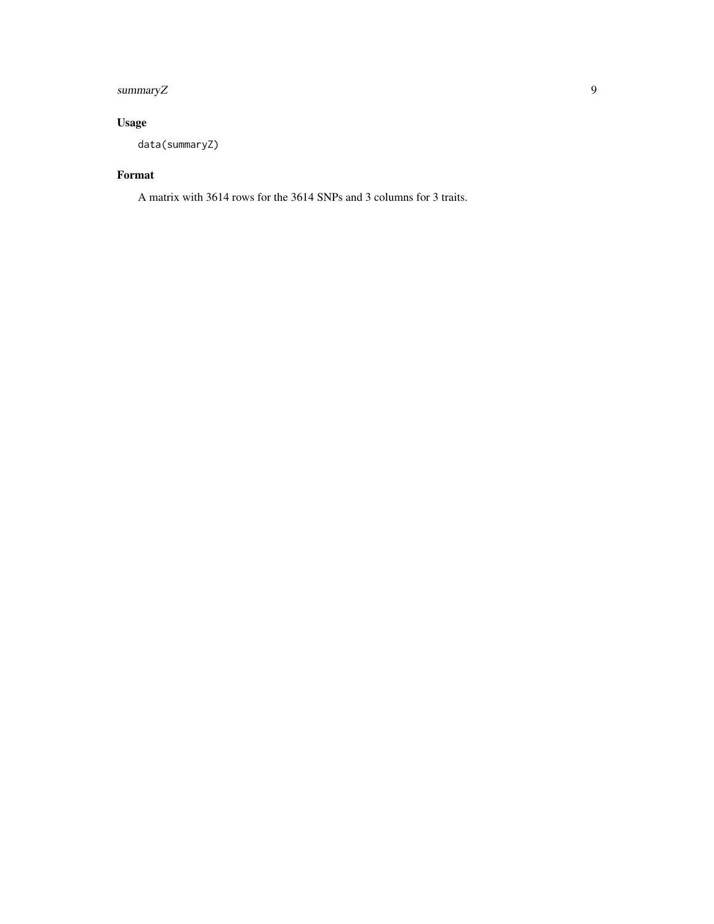### summaryZ 9

# Usage

data(summaryZ)

# Format

A matrix with 3614 rows for the 3614 SNPs and 3 columns for 3 traits.